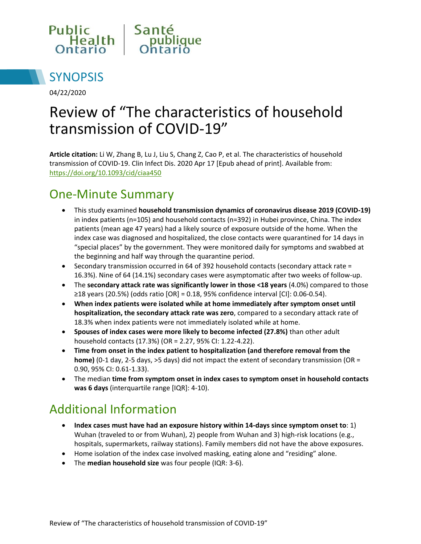



04/22/2020

# Review of "The characteristics of household transmission of COVID-19"

**Article citation:** Li W, Zhang B, Lu J, Liu S, Chang Z, Cao P, et al. The characteristics of household transmission of COVID-19. Clin Infect Dis. 2020 Apr 17 [Epub ahead of print]. Available from: <https://doi.org/10.1093/cid/ciaa450>

#### One-Minute Summary

- This study examined **household transmission dynamics of coronavirus disease 2019 (COVID-19)** in index patients (n=105) and household contacts (n=392) in Hubei province, China. The index patients (mean age 47 years) had a likely source of exposure outside of the home. When the index case was diagnosed and hospitalized, the close contacts were quarantined for 14 days in "special places" by the government. They were monitored daily for symptoms and swabbed at the beginning and half way through the quarantine period.
- $\bullet$  Secondary transmission occurred in 64 of 392 household contacts (secondary attack rate = 16.3%). Nine of 64 (14.1%) secondary cases were asymptomatic after two weeks of follow-up.
- The **secondary attack rate was significantly lower in those <18 years** (4.0%) compared to those ≥18 years (20.5%) (odds ratio [OR] = 0.18, 95% confidence interval [CI]: 0.06-0.54).
- **When index patients were isolated while at home immediately after symptom onset until hospitalization, the secondary attack rate was zero**, compared to a secondary attack rate of 18.3% when index patients were not immediately isolated while at home.
- **Spouses of index cases were more likely to become infected (27.8%)** than other adult household contacts (17.3%) (OR = 2.27, 95% CI: 1.22-4.22).
- **Time from onset in the index patient to hospitalization (and therefore removal from the home)** (0-1 day, 2-5 days, >5 days) did not impact the extent of secondary transmission (OR = 0.90, 95% CI: 0.61-1.33).
- The median **time from symptom onset in index cases to symptom onset in household contacts was 6 days** (interquartile range [IQR]: 4-10).

# Additional Information

- **Index cases must have had an exposure history within 14-days since symptom onset to**: 1) Wuhan (traveled to or from Wuhan), 2) people from Wuhan and 3) high-risk locations (e.g., hospitals, supermarkets, railway stations). Family members did not have the above exposures.
- Home isolation of the index case involved masking, eating alone and "residing" alone.
- The **median household size** was four people (IQR: 3-6).